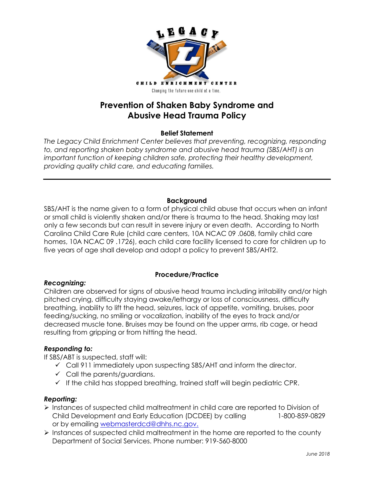

# **Prevention of Shaken Baby Syndrome and Abusive Head Trauma Policy**

## **Belief Statement**

*The Legacy Child Enrichment Center believes that preventing, recognizing, responding*  to, and reporting shaken baby syndrome and abusive head trauma (SBS/AHT) is an *important function of keeping children safe, protecting their healthy development, providing quality child care, and educating families.*

## **Background**

SBS/AHT is the name given to a form of physical child abuse that occurs when an infant or small child is violently shaken and/or there is trauma to the head. Shaking may last only a few seconds but can result in severe injury or even death. According to North Carolina Child Care Rule (child care centers, 10A NCAC 09 .0608, family child care homes, 10A NCAC 09 .1726), each child care facility licensed to care for children up to five years of age shall develop and adopt a policy to prevent SBS/AHT2.

## *Recognizing:*

# **Procedure/Practice**

Children are observed for signs of abusive head trauma including irritability and/or high pitched crying, difficulty staying awake/lethargy or loss of consciousness, difficulty breathing, inability to lift the head, seizures, lack of appetite, vomiting, bruises, poor feeding/sucking, no smiling or vocalization, inability of the eyes to track and/or decreased muscle tone. Bruises may be found on the upper arms, rib cage, or head resulting from gripping or from hitting the head.

## *Responding to:*

If SBS/ABT is suspected, staff will:

- $\checkmark$  Call 911 immediately upon suspecting SBS/AHT and inform the director.
- $\checkmark$  Call the parents/guardians.
- $\checkmark$  If the child has stopped breathing, trained staff will begin pediatric CPR.

## *Reporting:*

- Instances of suspected child maltreatment in child care are reported to Division of Child Development and Early Education (DCDEE) by calling 1-800-859-0829 or by emailing webmasterdcd@dhhs.nc.gov.
- $\triangleright$  Instances of suspected child maltreatment in the home are reported to the county Department of Social Services. Phone number: 919-560-8000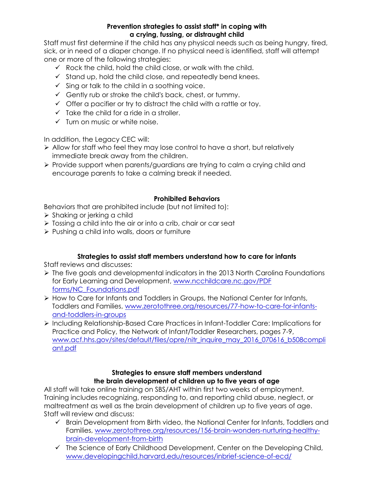## **Prevention strategies to assist staff\* in coping with a crying, fussing, or distraught child**

Staff must first determine if the child has any physical needs such as being hungry, tired, sick, or in need of a diaper change. If no physical need is identified, staff will attempt one or more of the following strategies:

- $\checkmark$  Rock the child, hold the child close, or walk with the child.
- $\checkmark$  Stand up, hold the child close, and repeatedly bend knees.
- $\checkmark$  Sing or talk to the child in a soothing voice.
- Gently rub or stroke the child's back, chest, or tummy.
- $\checkmark$  Offer a pacifier or try to distract the child with a rattle or toy.
- $\checkmark$  Take the child for a ride in a stroller.
- $\checkmark$  Turn on music or white noise.

In addition, the Legacy CEC will:

- Allow for staff who feel they may lose control to have a short, but relatively immediate break away from the children.
- Provide support when parents/guardians are trying to calm a crying child and encourage parents to take a calming break if needed.

## **Prohibited Behaviors**

Behaviors that are prohibited include (but not limited to):

- $\triangleright$  Shaking or jerking a child
- $\triangleright$  Tossing a child into the air or into a crib, chair or car seat
- $\triangleright$  Pushing a child into walls, doors or furniture

## **Strategies to assist staff members understand how to care for infants**

Staff reviews and discusses:

- $\triangleright$  The five goals and developmental indicators in the 2013 North Carolina Foundations for Early Learning and Development, www.ncchildcare.nc.gov/PDF forms/NC\_Foundations.pdf
- $\triangleright$  How to Care for Infants and Toddlers in Groups, the National Center for Infants, Toddlers and Families, [www.zerotothree.org/resources/77-how-to-care-for-infants](http://www.zerotothree.org/resources/77-how-to-care-for-infants-and-toddlers-in-groups)[and-toddlers-in-groups](http://www.zerotothree.org/resources/77-how-to-care-for-infants-and-toddlers-in-groups)
- Including Relationship-Based Care Practices in Infant-Toddler Care: Implications for Practice and Policy, the Network of Infant/Toddler Researchers, pages 7-9, www.acf.hhs.gov/sites/default/files/opre/nitr\_inquire\_may\_2016\_070616\_b508compli ant.pdf

## **Strategies to ensure staff members understand the brain development of children up to five years of age**

All staff will take online training on SBS/AHT within first two weeks of employment. Training includes recognizing, responding to, and reporting child abuse, neglect, or maltreatment as well as the brain development of children up to five years of age. Staff will review and discuss:

- $\checkmark$  Brain Development from Birth video, the National Center for Infants, Toddlers and Families, www.zerotothree.org/resources/156-brain-wonders-nurturing-healthybrain-development-from-birth
- $\checkmark$  The Science of Early Childhood Development, Center on the Developing Child, www.developingchild.harvard.edu/resources/inbrief-science-of-ecd/